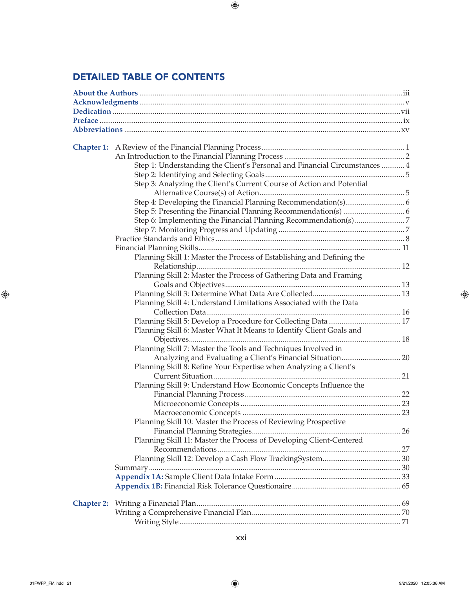## DETAILED TABLE OF CONTENTS

 $\overline{\phantom{a}}$ 

 $\bigoplus$ 

|                   | Step 1: Understanding the Client's Personal and Financial Circumstances  4 |  |
|-------------------|----------------------------------------------------------------------------|--|
|                   |                                                                            |  |
|                   | Step 3: Analyzing the Client's Current Course of Action and Potential      |  |
|                   |                                                                            |  |
|                   |                                                                            |  |
|                   |                                                                            |  |
|                   |                                                                            |  |
|                   |                                                                            |  |
|                   |                                                                            |  |
|                   |                                                                            |  |
|                   | Planning Skill 1: Master the Process of Establishing and Defining the      |  |
|                   |                                                                            |  |
|                   | Planning Skill 2: Master the Process of Gathering Data and Framing         |  |
|                   |                                                                            |  |
|                   |                                                                            |  |
|                   | Planning Skill 4: Understand Limitations Associated with the Data          |  |
|                   |                                                                            |  |
|                   |                                                                            |  |
|                   | Planning Skill 6: Master What It Means to Identify Client Goals and        |  |
|                   |                                                                            |  |
|                   | Planning Skill 7: Master the Tools and Techniques Involved in              |  |
|                   | Analyzing and Evaluating a Client's Financial Situation 20                 |  |
|                   | Planning Skill 8: Refine Your Expertise when Analyzing a Client's          |  |
|                   |                                                                            |  |
|                   | Planning Skill 9: Understand How Economic Concepts Influence the           |  |
|                   |                                                                            |  |
|                   |                                                                            |  |
|                   |                                                                            |  |
|                   | Planning Skill 10: Master the Process of Reviewing Prospective             |  |
|                   |                                                                            |  |
|                   | Planning Skill 11: Master the Process of Developing Client-Centered        |  |
|                   |                                                                            |  |
|                   |                                                                            |  |
|                   |                                                                            |  |
|                   |                                                                            |  |
|                   |                                                                            |  |
|                   |                                                                            |  |
| <b>Chapter 2:</b> |                                                                            |  |
|                   |                                                                            |  |
|                   |                                                                            |  |

 $\bigoplus$ 

 $\overline{\phantom{a}}$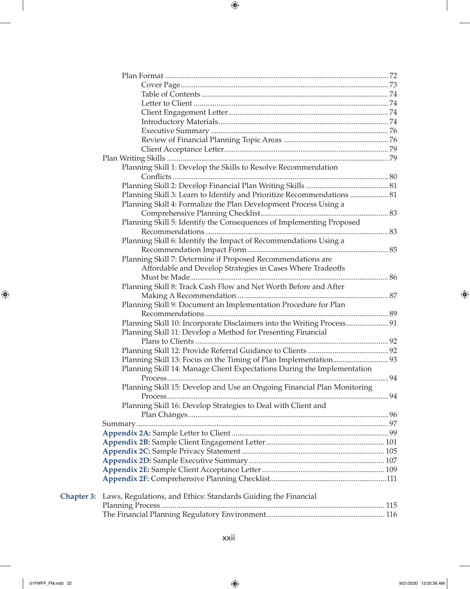|                   | Planning Skill 1: Develop the Skills to Resolve Recommendation          |    |
|-------------------|-------------------------------------------------------------------------|----|
|                   |                                                                         |    |
|                   |                                                                         |    |
|                   | Planning Skill 3: Learn to Identify and Prioritize Recommendations  81  |    |
|                   | Planning Skill 4: Formalize the Plan Development Process Using a        |    |
|                   |                                                                         |    |
|                   | Planning Skill 5: Identify the Consequences of Implementing Proposed    |    |
|                   |                                                                         |    |
|                   | Planning Skill 6: Identify the Impact of Recommendations Using a        |    |
|                   |                                                                         |    |
|                   | Planning Skill 7: Determine if Proposed Recommendations are             |    |
|                   | Affordable and Develop Strategies in Cases Where Tradeoffs              |    |
|                   |                                                                         |    |
|                   | Planning Skill 8: Track Cash Flow and Net Worth Before and After        |    |
|                   |                                                                         |    |
|                   | Planning Skill 9: Document an Implementation Procedure for Plan         |    |
|                   |                                                                         |    |
|                   | Planning Skill 10: Incorporate Disclaimers into the Writing Process 91  |    |
|                   | Planning Skill 11: Develop a Method for Presenting Financial            |    |
|                   |                                                                         |    |
|                   |                                                                         |    |
|                   |                                                                         |    |
|                   | Planning Skill 14: Manage Client Expectations During the Implementation |    |
|                   | Process                                                                 | 94 |
|                   | Planning Skill 15: Develop and Use an Ongoing Financial Plan Monitoring |    |
|                   |                                                                         |    |
|                   | Planning Skill 16: Develop Strategies to Deal with Client and           |    |
|                   |                                                                         |    |
|                   |                                                                         |    |
|                   |                                                                         |    |
|                   |                                                                         |    |
|                   |                                                                         |    |
|                   |                                                                         |    |
|                   |                                                                         |    |
|                   |                                                                         |    |
| <b>Chapter 3:</b> | Laws, Regulations, and Ethics: Standards Guiding the Financial          |    |
|                   |                                                                         |    |
|                   |                                                                         |    |
|                   |                                                                         |    |

 $\mathcal{L}$ 

 $\bigoplus$ 

 $\begin{array}{c} \hline \end{array}$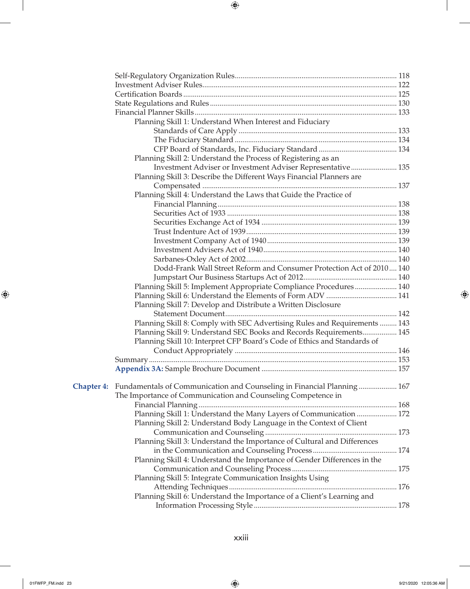|                   | Planning Skill 1: Understand When Interest and Fiduciary                  |  |
|-------------------|---------------------------------------------------------------------------|--|
|                   |                                                                           |  |
|                   |                                                                           |  |
|                   |                                                                           |  |
|                   | Planning Skill 2: Understand the Process of Registering as an             |  |
|                   | Investment Adviser or Investment Adviser Representative 135               |  |
|                   | Planning Skill 3: Describe the Different Ways Financial Planners are      |  |
|                   |                                                                           |  |
|                   | Planning Skill 4: Understand the Laws that Guide the Practice of          |  |
|                   |                                                                           |  |
|                   |                                                                           |  |
|                   |                                                                           |  |
|                   |                                                                           |  |
|                   |                                                                           |  |
|                   |                                                                           |  |
|                   |                                                                           |  |
|                   | Dodd-Frank Wall Street Reform and Consumer Protection Act of 2010 140     |  |
|                   |                                                                           |  |
|                   | Planning Skill 5: Implement Appropriate Compliance Procedures 140         |  |
|                   |                                                                           |  |
|                   | Planning Skill 7: Develop and Distribute a Written Disclosure             |  |
|                   |                                                                           |  |
|                   | Planning Skill 8: Comply with SEC Advertising Rules and Requirements  143 |  |
|                   | Planning Skill 9: Understand SEC Books and Records Requirements 145       |  |
|                   | Planning Skill 10: Interpret CFP Board's Code of Ethics and Standards of  |  |
|                   |                                                                           |  |
|                   |                                                                           |  |
|                   |                                                                           |  |
|                   |                                                                           |  |
| <b>Chapter 4:</b> | Fundamentals of Communication and Counseling in Financial Planning 167    |  |
|                   | The Importance of Communication and Counseling Competence in              |  |
|                   |                                                                           |  |
|                   | Planning Skill 1: Understand the Many Layers of Communication  172        |  |
|                   | Planning Skill 2: Understand Body Language in the Context of Client       |  |
|                   |                                                                           |  |
|                   | Planning Skill 3: Understand the Importance of Cultural and Differences   |  |
|                   |                                                                           |  |
|                   | Planning Skill 4: Understand the Importance of Gender Differences in the  |  |
|                   |                                                                           |  |
|                   | Planning Skill 5: Integrate Communication Insights Using                  |  |
|                   |                                                                           |  |
|                   | Planning Skill 6: Understand the Importance of a Client's Learning and    |  |
|                   |                                                                           |  |
|                   |                                                                           |  |

xxiii

 $\mathbf{I}$ 

 $\bigoplus$ 

 $\begin{array}{c} \hline \end{array}$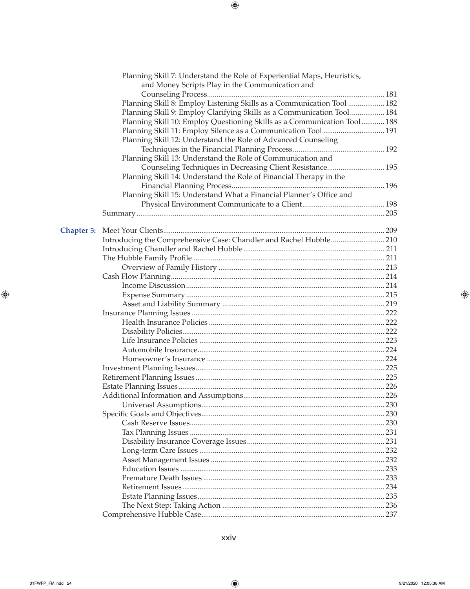|                   | Planning Skill 7: Understand the Role of Experiential Maps, Heuristics,  |      |
|-------------------|--------------------------------------------------------------------------|------|
|                   | and Money Scripts Play in the Communication and                          |      |
|                   |                                                                          |      |
|                   | Planning Skill 8: Employ Listening Skills as a Communication Tool  182   |      |
|                   | Planning Skill 9: Employ Clarifying Skills as a Communication Tool 184   |      |
|                   | Planning Skill 10: Employ Questioning Skills as a Communication Tool 188 |      |
|                   | Planning Skill 11: Employ Silence as a Communication Tool  191           |      |
|                   | Planning Skill 12: Understand the Role of Advanced Counseling            |      |
|                   |                                                                          |      |
|                   | Planning Skill 13: Understand the Role of Communication and              |      |
|                   | Counseling Techniques in Decreasing Client Resistance 195                |      |
|                   | Planning Skill 14: Understand the Role of Financial Therapy in the       |      |
|                   |                                                                          |      |
|                   | Planning Skill 15: Understand What a Financial Planner's Office and      |      |
|                   |                                                                          |      |
|                   |                                                                          |      |
|                   |                                                                          |      |
| <b>Chapter 5:</b> |                                                                          |      |
|                   |                                                                          |      |
|                   |                                                                          |      |
|                   |                                                                          |      |
|                   |                                                                          |      |
|                   |                                                                          |      |
|                   |                                                                          |      |
|                   |                                                                          |      |
|                   |                                                                          |      |
|                   |                                                                          |      |
|                   |                                                                          |      |
|                   |                                                                          |      |
|                   |                                                                          |      |
|                   |                                                                          |      |
|                   |                                                                          |      |
|                   |                                                                          |      |
|                   |                                                                          |      |
|                   |                                                                          |      |
|                   |                                                                          |      |
|                   |                                                                          |      |
|                   |                                                                          |      |
|                   |                                                                          |      |
|                   |                                                                          |      |
|                   |                                                                          |      |
|                   |                                                                          |      |
|                   |                                                                          |      |
|                   |                                                                          |      |
|                   |                                                                          |      |
|                   |                                                                          |      |
|                   |                                                                          | .234 |
|                   |                                                                          |      |
|                   |                                                                          |      |
|                   |                                                                          |      |

 $\mathbf{I}$ 

 $\bigoplus$ 

 $\overline{\phantom{a}}$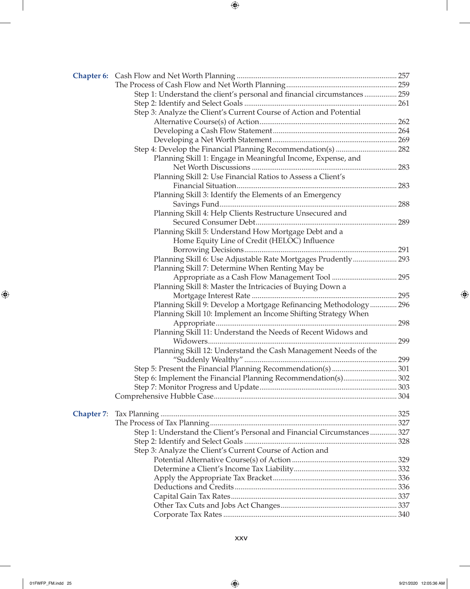|                   | Step 1: Understand the client's personal and financial circumstances  259 |  |
|-------------------|---------------------------------------------------------------------------|--|
|                   |                                                                           |  |
|                   | Step 3: Analyze the Client's Current Course of Action and Potential       |  |
|                   |                                                                           |  |
|                   |                                                                           |  |
|                   |                                                                           |  |
|                   |                                                                           |  |
|                   | Planning Skill 1: Engage in Meaningful Income, Expense, and               |  |
|                   |                                                                           |  |
|                   | Planning Skill 2: Use Financial Ratios to Assess a Client's               |  |
|                   |                                                                           |  |
|                   | Planning Skill 3: Identify the Elements of an Emergency                   |  |
|                   |                                                                           |  |
|                   | Planning Skill 4: Help Clients Restructure Unsecured and                  |  |
|                   |                                                                           |  |
|                   | Planning Skill 5: Understand How Mortgage Debt and a                      |  |
|                   | Home Equity Line of Credit (HELOC) Influence                              |  |
|                   |                                                                           |  |
|                   | Planning Skill 6: Use Adjustable Rate Mortgages Prudently 293             |  |
|                   | Planning Skill 7: Determine When Renting May be                           |  |
|                   |                                                                           |  |
|                   | Planning Skill 8: Master the Intricacies of Buying Down a                 |  |
|                   |                                                                           |  |
|                   | Planning Skill 9: Develop a Mortgage Refinancing Methodology 296          |  |
|                   | Planning Skill 10: Implement an Income Shifting Strategy When             |  |
|                   |                                                                           |  |
|                   | Planning Skill 11: Understand the Needs of Recent Widows and              |  |
|                   |                                                                           |  |
|                   | Planning Skill 12: Understand the Cash Management Needs of the            |  |
|                   |                                                                           |  |
|                   |                                                                           |  |
|                   | Step 6: Implement the Financial Planning Recommendation(s) 302            |  |
|                   |                                                                           |  |
|                   |                                                                           |  |
|                   |                                                                           |  |
| <b>Chapter 7:</b> |                                                                           |  |
|                   |                                                                           |  |
|                   | Step 1: Understand the Client's Personal and Financial Circumstances  327 |  |
|                   |                                                                           |  |
|                   | Step 3: Analyze the Client's Current Course of Action and                 |  |
|                   |                                                                           |  |
|                   |                                                                           |  |
|                   |                                                                           |  |
|                   |                                                                           |  |
|                   |                                                                           |  |
|                   |                                                                           |  |
|                   |                                                                           |  |

 $\mathbf{I}$ 

 $\bigoplus$ 

 $\overline{\phantom{a}}$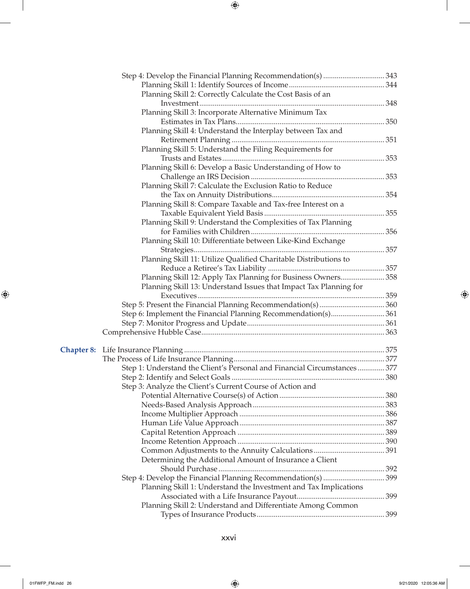|                   | Planning Skill 2: Correctly Calculate the Cost Basis of an               |  |
|-------------------|--------------------------------------------------------------------------|--|
|                   |                                                                          |  |
|                   | Planning Skill 3: Incorporate Alternative Minimum Tax                    |  |
|                   |                                                                          |  |
|                   | Planning Skill 4: Understand the Interplay between Tax and               |  |
|                   |                                                                          |  |
|                   | Planning Skill 5: Understand the Filing Requirements for                 |  |
|                   |                                                                          |  |
|                   | Planning Skill 6: Develop a Basic Understanding of How to                |  |
|                   |                                                                          |  |
|                   | Planning Skill 7: Calculate the Exclusion Ratio to Reduce                |  |
|                   |                                                                          |  |
|                   | Planning Skill 8: Compare Taxable and Tax-free Interest on a             |  |
|                   |                                                                          |  |
|                   | Planning Skill 9: Understand the Complexities of Tax Planning            |  |
|                   |                                                                          |  |
|                   | Planning Skill 10: Differentiate between Like-Kind Exchange              |  |
|                   |                                                                          |  |
|                   | Planning Skill 11: Utilize Qualified Charitable Distributions to         |  |
|                   |                                                                          |  |
|                   | Planning Skill 12: Apply Tax Planning for Business Owners 358            |  |
|                   | Planning Skill 13: Understand Issues that Impact Tax Planning for        |  |
|                   |                                                                          |  |
|                   |                                                                          |  |
|                   |                                                                          |  |
|                   |                                                                          |  |
|                   |                                                                          |  |
| <b>Chapter 8:</b> |                                                                          |  |
|                   |                                                                          |  |
|                   | Step 1: Understand the Client's Personal and Financial Circumstances 377 |  |
|                   |                                                                          |  |
|                   | Step 3: Analyze the Client's Current Course of Action and                |  |
|                   |                                                                          |  |
|                   |                                                                          |  |
|                   |                                                                          |  |
|                   |                                                                          |  |
|                   |                                                                          |  |
|                   |                                                                          |  |
|                   |                                                                          |  |
|                   | Determining the Additional Amount of Insurance a Client                  |  |
|                   |                                                                          |  |
|                   |                                                                          |  |
|                   | Planning Skill 1: Understand the Investment and Tax Implications         |  |
|                   |                                                                          |  |
|                   | Planning Skill 2: Understand and Differentiate Among Common              |  |
|                   |                                                                          |  |
|                   |                                                                          |  |

 $\mathcal{L}$ 

 $\bigoplus$ 

01FWFP\_FM.indd 26 9/21/2020 12:05:36 AM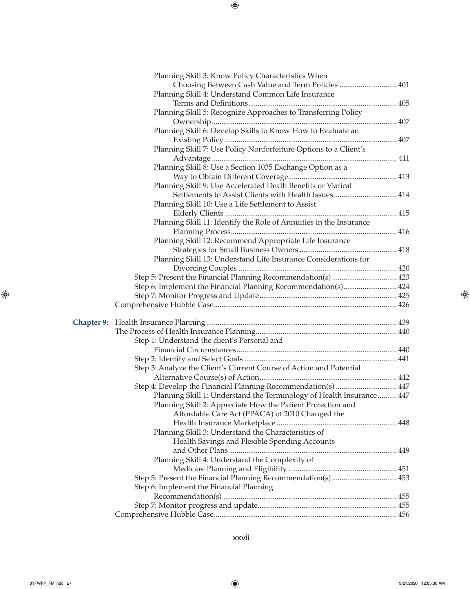|                   | Planning Skill 3: Know Policy Characteristics When                   |  |
|-------------------|----------------------------------------------------------------------|--|
|                   | Choosing Between Cash Value and Term Policies  401                   |  |
|                   | Planning Skill 4: Understand Common Life Insurance                   |  |
|                   |                                                                      |  |
|                   | Planning Skill 5: Recognize Approaches to Transferring Policy        |  |
|                   |                                                                      |  |
|                   | Planning Skill 6: Develop Skills to Know How to Evaluate an          |  |
|                   |                                                                      |  |
|                   | Planning Skill 7: Use Policy Nonforfeiture Options to a Client's     |  |
|                   |                                                                      |  |
|                   | Planning Skill 8: Use a Section 1035 Exchange Option as a            |  |
|                   |                                                                      |  |
|                   | Planning Skill 9: Use Accelerated Death Benefits or Viatical         |  |
|                   | Settlements to Assist Clients with Health Issues 414                 |  |
|                   | Planning Skill 10: Use a Life Settlement to Assist                   |  |
|                   |                                                                      |  |
|                   | Planning Skill 11: Identify the Role of Annuities in the Insurance   |  |
|                   |                                                                      |  |
|                   |                                                                      |  |
|                   | Planning Skill 12: Recommend Appropriate Life Insurance              |  |
|                   |                                                                      |  |
|                   | Planning Skill 13: Understand Life Insurance Considerations for      |  |
|                   |                                                                      |  |
|                   |                                                                      |  |
|                   | Step 6: Implement the Financial Planning Recommendation(s) 424       |  |
|                   |                                                                      |  |
|                   |                                                                      |  |
| <b>Chapter 9:</b> |                                                                      |  |
|                   |                                                                      |  |
|                   |                                                                      |  |
|                   | Step 1: Understand the client's Personal and                         |  |
|                   |                                                                      |  |
|                   |                                                                      |  |
|                   | Step 3: Analyze the Client's Current Course of Action and Potential  |  |
|                   |                                                                      |  |
|                   | Step 4: Develop the Financial Planning Recommendation(s)  447        |  |
|                   | Planning Skill 1: Understand the Terminology of Health Insurance 447 |  |
|                   | Planning Skill 2: Appreciate How the Patient Protection and          |  |
|                   | Affordable Care Act (PPACA) of 2010 Changed the                      |  |
|                   |                                                                      |  |
|                   | Planning Skill 3: Understand the Characteristics of                  |  |
|                   | Health Savings and Flexible Spending Accounts                        |  |
|                   |                                                                      |  |
|                   | Planning Skill 4: Understand the Complexity of                       |  |
|                   |                                                                      |  |
|                   | Step 5: Present the Financial Planning Recommendation(s)  453        |  |
|                   | Step 6: Implement the Financial Planning                             |  |
|                   |                                                                      |  |
|                   |                                                                      |  |
|                   |                                                                      |  |
|                   |                                                                      |  |

xxvii

 $\mathbf{I}$ 

 $\bigoplus$ 

01FWFP\_FM.indd 27 9/21/2020 12:05:36 AM

 $\frac{1}{2}$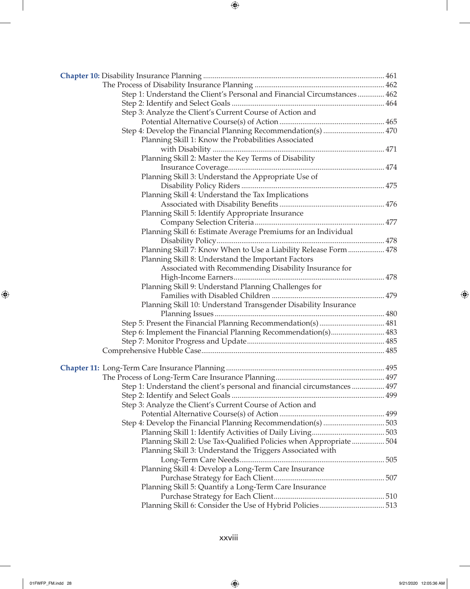| Step 1: Understand the Client's Personal and Financial Circumstances  462 |  |
|---------------------------------------------------------------------------|--|
|                                                                           |  |
| Step 3: Analyze the Client's Current Course of Action and                 |  |
|                                                                           |  |
| Step 4: Develop the Financial Planning Recommendation(s)  470             |  |
| Planning Skill 1: Know the Probabilities Associated                       |  |
|                                                                           |  |
| Planning Skill 2: Master the Key Terms of Disability                      |  |
|                                                                           |  |
| Planning Skill 3: Understand the Appropriate Use of                       |  |
|                                                                           |  |
| Planning Skill 4: Understand the Tax Implications                         |  |
|                                                                           |  |
| Planning Skill 5: Identify Appropriate Insurance                          |  |
|                                                                           |  |
|                                                                           |  |
| Planning Skill 6: Estimate Average Premiums for an Individual             |  |
|                                                                           |  |
| Planning Skill 7: Know When to Use a Liability Release Form  478          |  |
| Planning Skill 8: Understand the Important Factors                        |  |
| Associated with Recommending Disability Insurance for                     |  |
|                                                                           |  |
|                                                                           |  |
|                                                                           |  |
| Planning Skill 10: Understand Transgender Disability Insurance            |  |
|                                                                           |  |
|                                                                           |  |
| Step 6: Implement the Financial Planning Recommendation(s) 483            |  |
|                                                                           |  |
|                                                                           |  |
|                                                                           |  |
|                                                                           |  |
|                                                                           |  |
| Step 1: Understand the client's personal and financial circumstances  497 |  |
|                                                                           |  |
| Step 3: Analyze the Client's Current Course of Action and                 |  |
|                                                                           |  |
|                                                                           |  |
|                                                                           |  |
| Planning Skill 2: Use Tax-Qualified Policies when Appropriate  504        |  |
| Planning Skill 3: Understand the Triggers Associated with                 |  |
|                                                                           |  |
| Planning Skill 4: Develop a Long-Term Care Insurance                      |  |
|                                                                           |  |
| Planning Skill 5: Quantify a Long-Term Care Insurance                     |  |
|                                                                           |  |
|                                                                           |  |

xxviii

 $\mathbb{R}$ 

 $\bigoplus$ 

 $\begin{array}{c} \hline \end{array}$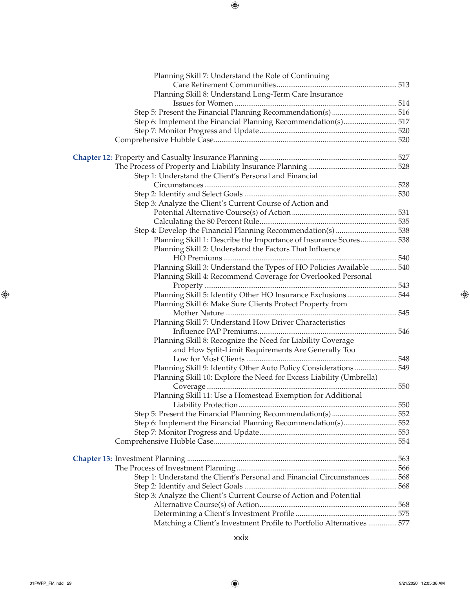| Planning Skill 7: Understand the Role of Continuing                      |  |
|--------------------------------------------------------------------------|--|
|                                                                          |  |
| Planning Skill 8: Understand Long-Term Care Insurance                    |  |
|                                                                          |  |
|                                                                          |  |
| Step 6: Implement the Financial Planning Recommendation(s) 517           |  |
|                                                                          |  |
|                                                                          |  |
|                                                                          |  |
|                                                                          |  |
| Step 1: Understand the Client's Personal and Financial                   |  |
|                                                                          |  |
|                                                                          |  |
| Step 3: Analyze the Client's Current Course of Action and                |  |
|                                                                          |  |
|                                                                          |  |
|                                                                          |  |
| Planning Skill 1: Describe the Importance of Insurance Scores 538        |  |
| Planning Skill 2: Understand the Factors That Influence                  |  |
|                                                                          |  |
| Planning Skill 3: Understand the Types of HO Policies Available  540     |  |
| Planning Skill 4: Recommend Coverage for Overlooked Personal             |  |
|                                                                          |  |
| Planning Skill 5: Identify Other HO Insurance Exclusions  544            |  |
| Planning Skill 6: Make Sure Clients Protect Property from                |  |
|                                                                          |  |
| Planning Skill 7: Understand How Driver Characteristics                  |  |
|                                                                          |  |
| Planning Skill 8: Recognize the Need for Liability Coverage              |  |
| and How Split-Limit Requirements Are Generally Too                       |  |
|                                                                          |  |
| Planning Skill 9: Identify Other Auto Policy Considerations  549         |  |
| Planning Skill 10: Explore the Need for Excess Liability (Umbrella)      |  |
|                                                                          |  |
| Planning Skill 11: Use a Homestead Exemption for Additional              |  |
|                                                                          |  |
| Step 5: Present the Financial Planning Recommendation(s)  552            |  |
| Step 6: Implement the Financial Planning Recommendation(s) 552           |  |
|                                                                          |  |
|                                                                          |  |
|                                                                          |  |
|                                                                          |  |
|                                                                          |  |
| Step 1: Understand the Client's Personal and Financial Circumstances 568 |  |
|                                                                          |  |
| Step 3: Analyze the Client's Current Course of Action and Potential      |  |
|                                                                          |  |
|                                                                          |  |
| Matching a Client's Investment Profile to Portfolio Alternatives  577    |  |

 $\mathbf{I}$ 

 $\bigoplus$ 

 $\frac{1}{2}$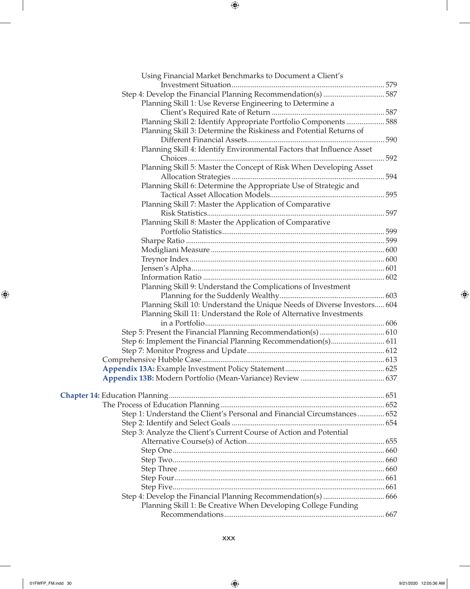| Using Financial Market Benchmarks to Document a Client's                  |  |
|---------------------------------------------------------------------------|--|
|                                                                           |  |
| Planning Skill 1: Use Reverse Engineering to Determine a                  |  |
|                                                                           |  |
| Planning Skill 2: Identify Appropriate Portfolio Components  588          |  |
| Planning Skill 3: Determine the Riskiness and Potential Returns of        |  |
|                                                                           |  |
| Planning Skill 4: Identify Environmental Factors that Influence Asset     |  |
|                                                                           |  |
| Planning Skill 5: Master the Concept of Risk When Developing Asset        |  |
|                                                                           |  |
| Planning Skill 6: Determine the Appropriate Use of Strategic and          |  |
|                                                                           |  |
| Planning Skill 7: Master the Application of Comparative                   |  |
|                                                                           |  |
| Planning Skill 8: Master the Application of Comparative                   |  |
|                                                                           |  |
|                                                                           |  |
|                                                                           |  |
|                                                                           |  |
|                                                                           |  |
|                                                                           |  |
| Planning Skill 9: Understand the Complications of Investment              |  |
|                                                                           |  |
| Planning Skill 10: Understand the Unique Needs of Diverse Investors 604   |  |
| Planning Skill 11: Understand the Role of Alternative Investments         |  |
|                                                                           |  |
|                                                                           |  |
| Step 6: Implement the Financial Planning Recommendation(s) 611            |  |
|                                                                           |  |
|                                                                           |  |
|                                                                           |  |
|                                                                           |  |
|                                                                           |  |
|                                                                           |  |
|                                                                           |  |
| Step 1: Understand the Client's Personal and Financial Circumstances  652 |  |
|                                                                           |  |
| Step 3: Analyze the Client's Current Course of Action and Potential       |  |
|                                                                           |  |
|                                                                           |  |
|                                                                           |  |
|                                                                           |  |
|                                                                           |  |
|                                                                           |  |
| Planning Skill 1: Be Creative When Developing College Funding             |  |
|                                                                           |  |
|                                                                           |  |

 $\mathbb{R}$ 

 $\bigoplus$ 

 $\overline{\phantom{a}}$ 

 $\overline{\phantom{a}}$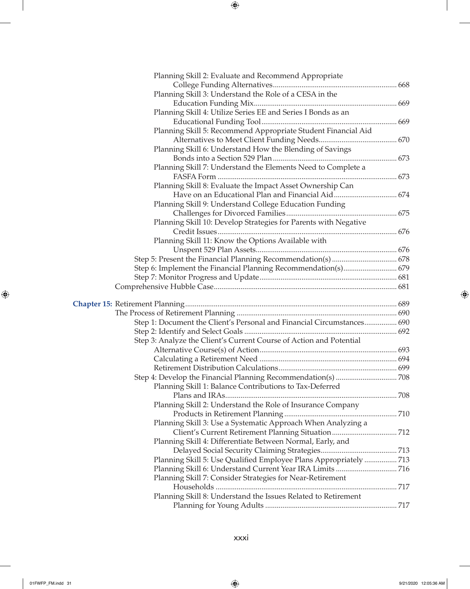| Planning Skill 3: Understand the Role of a CESA in the                 |  |
|------------------------------------------------------------------------|--|
|                                                                        |  |
| Planning Skill 4: Utilize Series EE and Series I Bonds as an           |  |
|                                                                        |  |
| Planning Skill 5: Recommend Appropriate Student Financial Aid          |  |
|                                                                        |  |
| Planning Skill 6: Understand How the Blending of Savings               |  |
|                                                                        |  |
| Planning Skill 7: Understand the Elements Need to Complete a           |  |
|                                                                        |  |
| Planning Skill 8: Evaluate the Impact Asset Ownership Can              |  |
|                                                                        |  |
| Planning Skill 9: Understand College Education Funding                 |  |
|                                                                        |  |
| Planning Skill 10: Develop Strategies for Parents with Negative        |  |
|                                                                        |  |
| Planning Skill 11: Know the Options Available with                     |  |
|                                                                        |  |
|                                                                        |  |
| Step 6: Implement the Financial Planning Recommendation(s) 679         |  |
|                                                                        |  |
|                                                                        |  |
|                                                                        |  |
|                                                                        |  |
|                                                                        |  |
|                                                                        |  |
| Step 1: Document the Client's Personal and Financial Circumstances 690 |  |
|                                                                        |  |
| Step 3: Analyze the Client's Current Course of Action and Potential    |  |
|                                                                        |  |
|                                                                        |  |
|                                                                        |  |
|                                                                        |  |
| Planning Skill 1: Balance Contributions to Tax-Deferred                |  |
|                                                                        |  |
| Planning Skill 2: Understand the Role of Insurance Company             |  |
|                                                                        |  |
| Planning Skill 3: Use a Systematic Approach When Analyzing a           |  |
|                                                                        |  |
| Planning Skill 4: Differentiate Between Normal, Early, and             |  |
|                                                                        |  |
| Planning Skill 5: Use Qualified Employee Plans Appropriately  713      |  |
|                                                                        |  |
| Planning Skill 7: Consider Strategies for Near-Retirement              |  |
|                                                                        |  |
| Planning Skill 8: Understand the Issues Related to Retirement          |  |

 $\mathcal{L}$ 

 $\bigoplus$ 

01FWFP\_FM.indd 31 9/21/2020 12:05:36 AM

 $\overline{\phantom{a}}$